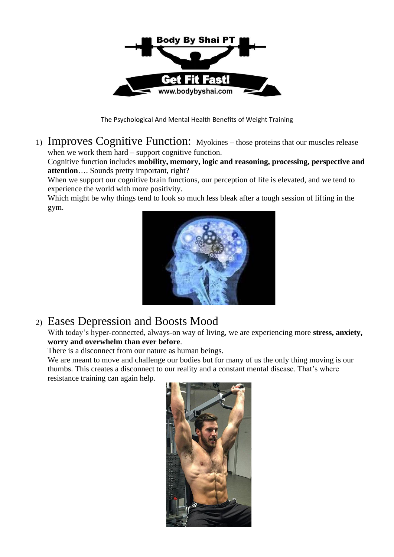

The Psychological And Mental Health Benefits of Weight Training

1) Improves Cognitive Function: Myokines – those proteins that our muscles release when we work them hard – support cognitive function.

Cognitive function includes **mobility, memory, logic and reasoning, processing, perspective and attention**…. Sounds pretty important, right?

When we support our cognitive brain functions, our perception of life is elevated, and we tend to experience the world with more positivity.

Which might be why things tend to look so much less bleak after a tough session of lifting in the gym.



## 2) Eases Depression and Boosts Mood

With today's hyper-connected, always-on way of living, we are experiencing more **stress, anxiety, worry and overwhelm than ever before**.

There is a disconnect from our nature as human beings.

We are meant to move and challenge our bodies but for many of us the only thing moving is our thumbs. This creates a disconnect to our reality and a constant mental disease. That's where resistance training can again help.